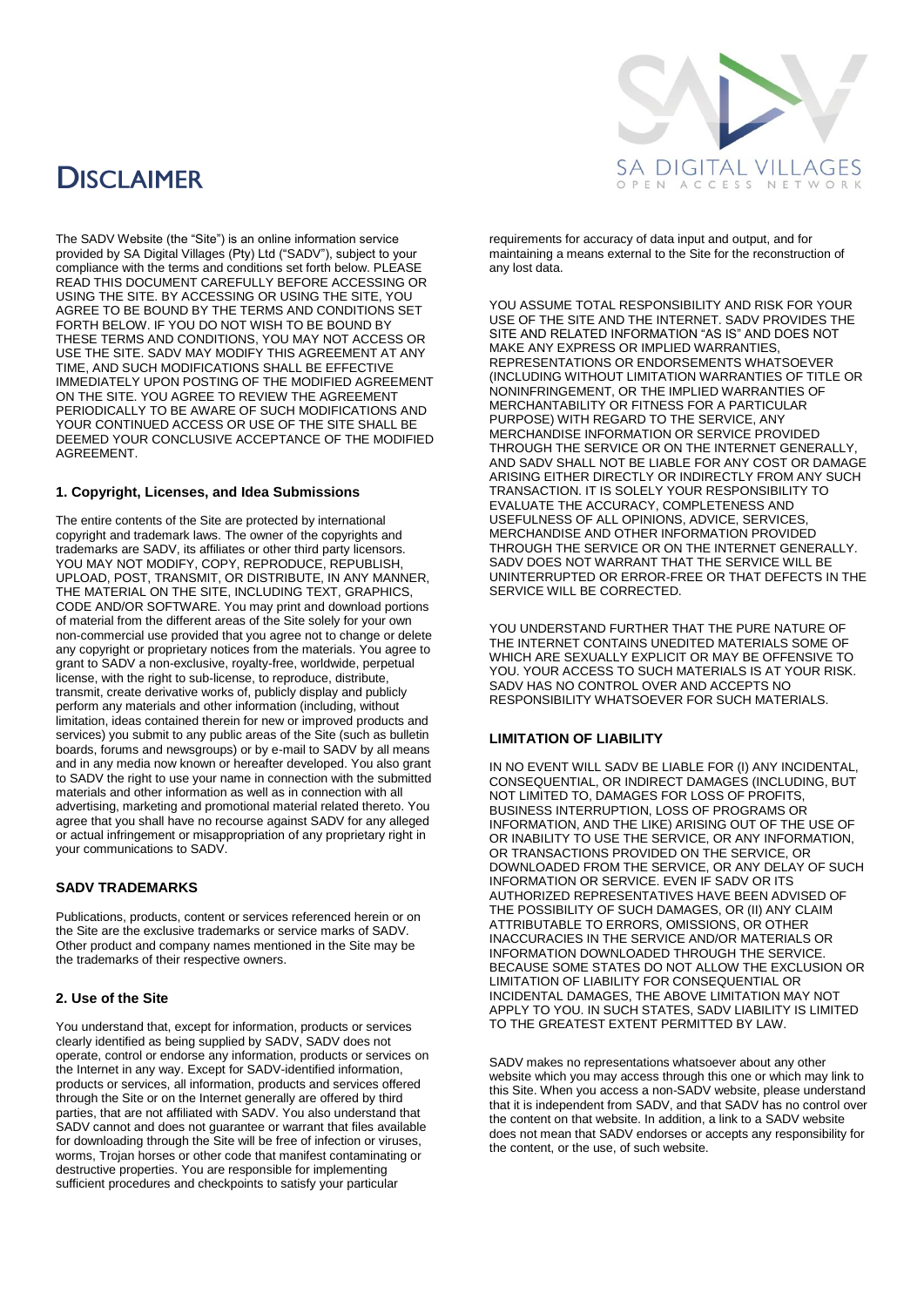## **DISCLAIMER**



The SADV Website (the "Site") is an online information service provided by SA Digital Villages (Pty) Ltd ("SADV"), subject to your compliance with the terms and conditions set forth below. PLEASE READ THIS DOCUMENT CAREFULLY BEFORE ACCESSING OR USING THE SITE. BY ACCESSING OR USING THE SITE, YOU AGREE TO BE BOUND BY THE TERMS AND CONDITIONS SET FORTH BELOW. IF YOU DO NOT WISH TO BE BOUND BY THESE TERMS AND CONDITIONS, YOU MAY NOT ACCESS OR USE THE SITE. SADV MAY MODIFY THIS AGREEMENT AT ANY TIME, AND SUCH MODIFICATIONS SHALL BE EFFECTIVE IMMEDIATELY UPON POSTING OF THE MODIFIED AGREEMENT ON THE SITE. YOU AGREE TO REVIEW THE AGREEMENT PERIODICALLY TO BE AWARE OF SUCH MODIFICATIONS AND YOUR CONTINUED ACCESS OR USE OF THE SITE SHALL BE DEEMED YOUR CONCLUSIVE ACCEPTANCE OF THE MODIFIED AGREEMENT.

## **1. Copyright, Licenses, and Idea Submissions**

The entire contents of the Site are protected by international copyright and trademark laws. The owner of the copyrights and trademarks are SADV, its affiliates or other third party licensors. YOU MAY NOT MODIFY, COPY, REPRODUCE, REPUBLISH, UPLOAD, POST, TRANSMIT, OR DISTRIBUTE, IN ANY MANNER, THE MATERIAL ON THE SITE, INCLUDING TEXT, GRAPHICS, CODE AND/OR SOFTWARE. You may print and download portions of material from the different areas of the Site solely for your own non-commercial use provided that you agree not to change or delete any copyright or proprietary notices from the materials. You agree to grant to SADV a non-exclusive, royalty-free, worldwide, perpetual license, with the right to sub-license, to reproduce, distribute, transmit, create derivative works of, publicly display and publicly perform any materials and other information (including, without limitation, ideas contained therein for new or improved products and services) you submit to any public areas of the Site (such as bulletin boards, forums and newsgroups) or by e-mail to SADV by all means and in any media now known or hereafter developed. You also grant to SADV the right to use your name in connection with the submitted materials and other information as well as in connection with all advertising, marketing and promotional material related thereto. You agree that you shall have no recourse against SADV for any alleged or actual infringement or misappropriation of any proprietary right in your communications to SADV.

## **SADV TRADEMARKS**

Publications, products, content or services referenced herein or on the Site are the exclusive trademarks or service marks of SADV. Other product and company names mentioned in the Site may be the trademarks of their respective owners.

### **2. Use of the Site**

You understand that, except for information, products or services clearly identified as being supplied by SADV, SADV does not operate, control or endorse any information, products or services on the Internet in any way. Except for SADV-identified information, products or services, all information, products and services offered through the Site or on the Internet generally are offered by third parties, that are not affiliated with SADV. You also understand that SADV cannot and does not guarantee or warrant that files available for downloading through the Site will be free of infection or viruses, worms, Trojan horses or other code that manifest contaminating or destructive properties. You are responsible for implementing sufficient procedures and checkpoints to satisfy your particular

requirements for accuracy of data input and output, and for maintaining a means external to the Site for the reconstruction of any lost data.

YOU ASSUME TOTAL RESPONSIBILITY AND RISK FOR YOUR USE OF THE SITE AND THE INTERNET. SADV PROVIDES THE SITE AND RELATED INFORMATION "AS IS" AND DOES NOT MAKE ANY EXPRESS OR IMPLIED WARRANTIES, REPRESENTATIONS OR ENDORSEMENTS WHATSOEVER (INCLUDING WITHOUT LIMITATION WARRANTIES OF TITLE OR NONINFRINGEMENT, OR THE IMPLIED WARRANTIES OF MERCHANTABILITY OR FITNESS FOR A PARTICULAR PURPOSE) WITH REGARD TO THE SERVICE, ANY MERCHANDISE INFORMATION OR SERVICE PROVIDED THROUGH THE SERVICE OR ON THE INTERNET GENERALLY, AND SADV SHALL NOT BE LIABLE FOR ANY COST OR DAMAGE ARISING EITHER DIRECTLY OR INDIRECTLY FROM ANY SUCH TRANSACTION. IT IS SOLELY YOUR RESPONSIBILITY TO EVALUATE THE ACCURACY, COMPLETENESS AND USEFULNESS OF ALL OPINIONS, ADVICE, SERVICES, MERCHANDISE AND OTHER INFORMATION PROVIDED THROUGH THE SERVICE OR ON THE INTERNET GENERALLY. SADV DOES NOT WARRANT THAT THE SERVICE WILL BE UNINTERRUPTED OR ERROR-FREE OR THAT DEFECTS IN THE SERVICE WILL BE CORRECTED.

YOU UNDERSTAND FURTHER THAT THE PURE NATURE OF THE INTERNET CONTAINS UNEDITED MATERIALS SOME OF WHICH ARE SEXUALLY EXPLICIT OR MAY BE OFFENSIVE TO YOU. YOUR ACCESS TO SUCH MATERIALS IS AT YOUR RISK. SADV HAS NO CONTROL OVER AND ACCEPTS NO RESPONSIBILITY WHATSOEVER FOR SUCH MATERIALS.

### **LIMITATION OF LIABILITY**

IN NO EVENT WILL SADV BE LIABLE FOR (I) ANY INCIDENTAL, CONSEQUENTIAL, OR INDIRECT DAMAGES (INCLUDING, BUT NOT LIMITED TO, DAMAGES FOR LOSS OF PROFITS BUSINESS INTERRUPTION, LOSS OF PROGRAMS OR INFORMATION, AND THE LIKE) ARISING OUT OF THE USE OF OR INABILITY TO USE THE SERVICE, OR ANY INFORMATION, OR TRANSACTIONS PROVIDED ON THE SERVICE, OR DOWNLOADED FROM THE SERVICE, OR ANY DELAY OF SUCH INFORMATION OR SERVICE. EVEN IF SADV OR ITS AUTHORIZED REPRESENTATIVES HAVE BEEN ADVISED OF THE POSSIBILITY OF SUCH DAMAGES, OR (II) ANY CLAIM ATTRIBUTABLE TO ERRORS, OMISSIONS, OR OTHER INACCURACIES IN THE SERVICE AND/OR MATERIALS OR INFORMATION DOWNLOADED THROUGH THE SERVICE BECAUSE SOME STATES DO NOT ALLOW THE EXCLUSION OR LIMITATION OF LIABILITY FOR CONSEQUENTIAL OR INCIDENTAL DAMAGES, THE ABOVE LIMITATION MAY NOT APPLY TO YOU. IN SUCH STATES, SADV LIABILITY IS LIMITED TO THE GREATEST EXTENT PERMITTED BY LAW.

SADV makes no representations whatsoever about any other website which you may access through this one or which may link to this Site. When you access a non-SADV website, please understand that it is independent from SADV, and that SADV has no control over the content on that website. In addition, a link to a SADV website does not mean that SADV endorses or accepts any responsibility for the content, or the use, of such website.